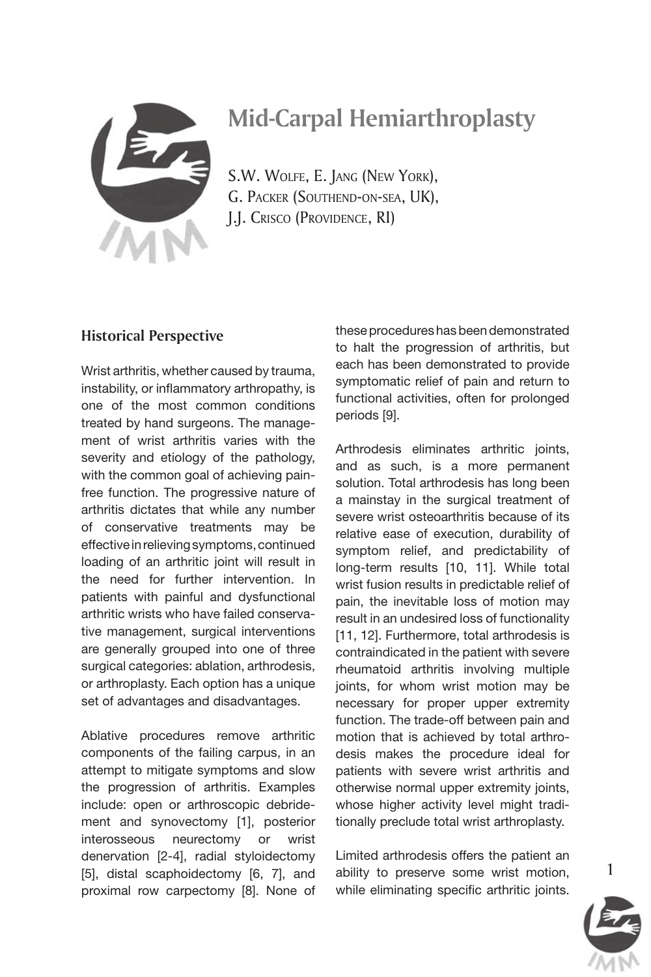

# *Mid-Carpal Hemiarthroplasty*

*S.W. Wolfe, E. Jang (New York), G. Packer (Southend-on-sea, UK), J.J. Crisco (Providence, RI)*

### *Historical Perspective*

Wrist arthritis, whether caused by trauma, instability, or inflammatory arthropathy, is one of the most common conditions treated by hand surgeons. The management of wrist arthritis varies with the severity and etiology of the pathology, with the common goal of achieving painfree function. The progressive nature of arthritis dictates that while any number of conservative treatments may be effective in relieving symptoms, continued loading of an arthritic joint will result in the need for further intervention. In patients with painful and dysfunctional arthritic wrists who have failed conservative management, surgical interventions are generally grouped into one of three surgical categories: ablation, arthrodesis, or arthroplasty. Each option has a unique set of advantages and disadvantages.

Ablative procedures remove arthritic components of the failing carpus, in an attempt to mitigate symptoms and slow the progression of arthritis. Examples include: open or arthroscopic debridement and synovectomy [1], posterior interosseous neurectomy or wrist denervation [2-4], radial styloidectomy [5], distal scaphoidectomy [6, 7], and proximal row carpectomy [8]. None of these procedures has been demonstrated to halt the progression of arthritis, but each has been demonstrated to provide symptomatic relief of pain and return to functional activities, often for prolonged periods [9].

Arthrodesis eliminates arthritic joints, and as such, is a more permanent solution. Total arthrodesis has long been a mainstay in the surgical treatment of severe wrist osteoarthritis because of its relative ease of execution, durability of symptom relief, and predictability of long-term results [10, 11]. While total wrist fusion results in predictable relief of pain, the inevitable loss of motion may result in an undesired loss of functionality [11, 12]. Furthermore, total arthrodesis is contraindicated in the patient with severe rheumatoid arthritis involving multiple joints, for whom wrist motion may be necessary for proper upper extremity function. The trade-off between pain and motion that is achieved by total arthrodesis makes the procedure ideal for patients with severe wrist arthritis and otherwise normal upper extremity joints, whose higher activity level might traditionally preclude total wrist arthroplasty.

Limited arthrodesis offers the patient an ability to preserve some wrist motion, while eliminating specific arthritic joints.

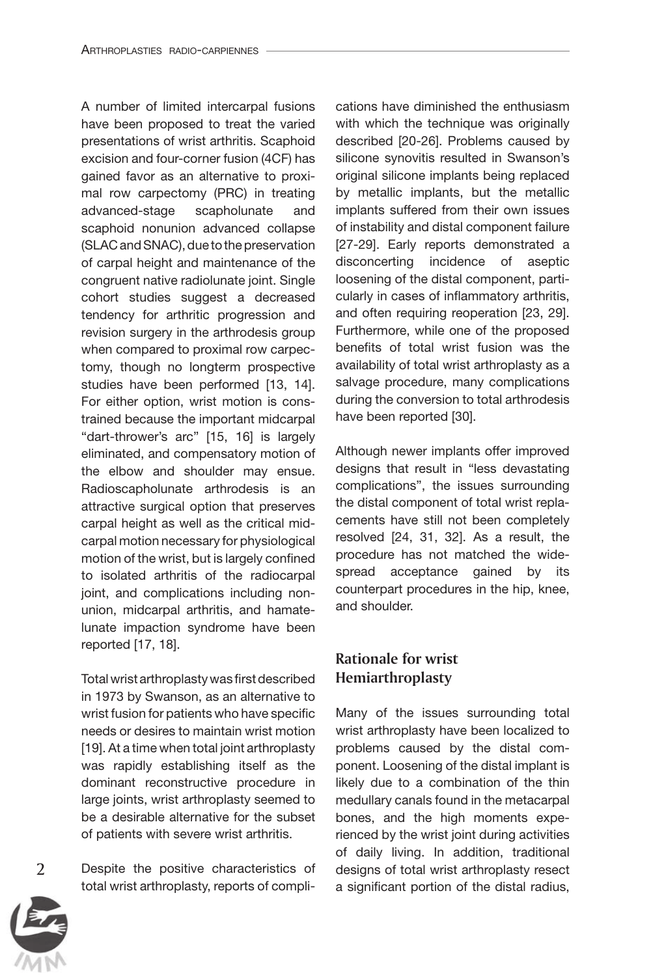A number of limited intercarpal fusions have been proposed to treat the varied presentations of wrist arthritis. Scaphoid excision and four-corner fusion (4CF) has gained favor as an alternative to proximal row carpectomy (PRC) in treating advanced-stage scapholunate and scaphoid nonunion advanced collapse (SLAC and SNAC), due to the preservation of carpal height and maintenance of the congruent native radiolunate joint. Single cohort studies suggest a decreased tendency for arthritic progression and revision surgery in the arthrodesis group when compared to proximal row carpectomy, though no longterm prospective studies have been performed [13, 14]. For either option, wrist motion is constrained because the important midcarpal "dart-thrower's arc" [15, 16] is largely eliminated, and compensatory motion of the elbow and shoulder may ensue. Radioscapholunate arthrodesis is an attractive surgical option that preserves carpal height as well as the critical midcarpal motion necessary for physiological motion of the wrist, but is largely confined to isolated arthritis of the radiocarpal joint, and complications including nonunion, midcarpal arthritis, and hamatelunate impaction syndrome have been reported [17, 18].

Total wrist arthroplasty was first described in 1973 by Swanson, as an alternative to wrist fusion for patients who have specific needs or desires to maintain wrist motion [19]. At a time when total joint arthroplasty was rapidly establishing itself as the dominant reconstructive procedure in large joints, wrist arthroplasty seemed to be a desirable alternative for the subset of patients with severe wrist arthritis.

Despite the positive characteristics of total wrist arthroplasty, reports of complications have diminished the enthusiasm with which the technique was originally described [20-26]. Problems caused by silicone synovitis resulted in Swanson's original silicone implants being replaced by metallic implants, but the metallic implants suffered from their own issues of instability and distal component failure [27-29]. Early reports demonstrated a disconcerting incidence of aseptic loosening of the distal component, particularly in cases of inflammatory arthritis, and often requiring reoperation [23, 29]. Furthermore, while one of the proposed benefits of total wrist fusion was the availability of total wrist arthroplasty as a salvage procedure, many complications during the conversion to total arthrodesis have been reported [30].

Although newer implants offer improved designs that result in "less devastating complications", the issues surrounding the distal component of total wrist replacements have still not been completely resolved [24, 31, 32]. As a result, the procedure has not matched the widespread acceptance gained by its counterpart procedures in the hip, knee, and shoulder.

# *Rationale for wrist Hemiarthroplasty*

Many of the issues surrounding total wrist arthroplasty have been localized to problems caused by the distal component. Loosening of the distal implant is likely due to a combination of the thin medullary canals found in the metacarpal bones, and the high moments experienced by the wrist joint during activities of daily living. In addition, traditional designs of total wrist arthroplasty resect a significant portion of the distal radius,

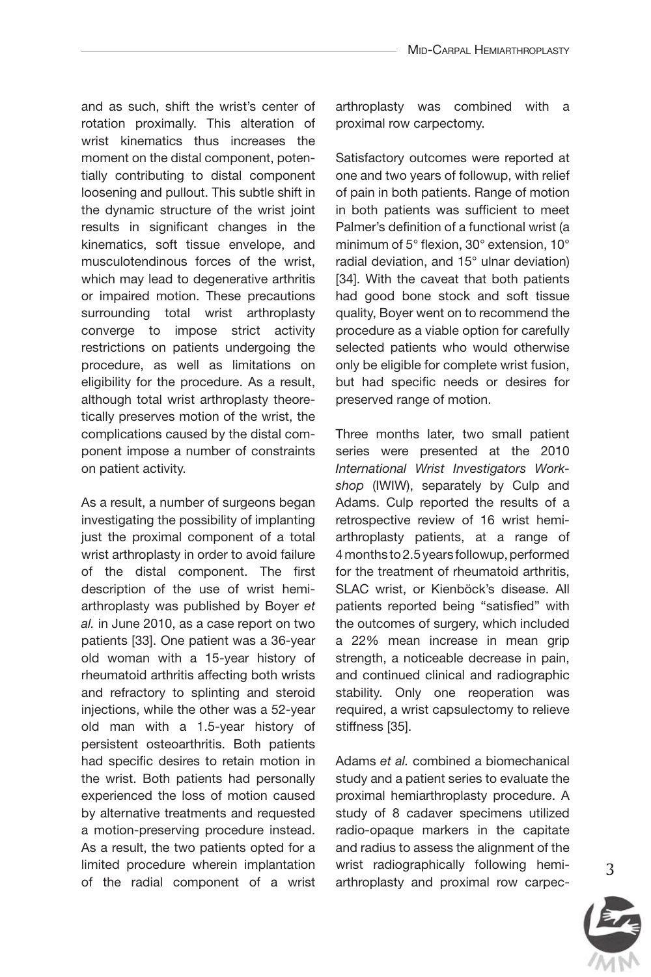and as such, shift the wrist's center of rotation proximally. This alteration of wrist kinematics thus increases the moment on the distal component, potentially contributing to distal component loosening and pullout. This subtle shift in the dynamic structure of the wrist joint results in significant changes in the kinematics, soft tissue envelope, and musculotendinous forces of the wrist, which may lead to degenerative arthritis or impaired motion. These precautions surrounding total wrist arthroplasty converge to impose strict activity restrictions on patients undergoing the procedure, as well as limitations on eligibility for the procedure. As a result, although total wrist arthroplasty theoretically preserves motion of the wrist, the complications caused by the distal component impose a number of constraints on patient activity.

As a result, a number of surgeons began investigating the possibility of implanting just the proximal component of a total wrist arthroplasty in order to avoid failure of the distal component. The first description of the use of wrist hemiarthroplasty was published by Boyer *et al.* in June 2010, as a case report on two patients [33]. One patient was a 36-year old woman with a 15-year history of rheumatoid arthritis affecting both wrists and refractory to splinting and steroid injections, while the other was a 52-year old man with a 1.5-year history of persistent osteoarthritis. Both patients had specific desires to retain motion in the wrist. Both patients had personally experienced the loss of motion caused by alternative treatments and requested a motion-preserving procedure instead. As a result, the two patients opted for a limited procedure wherein implantation of the radial component of a wrist

arthroplasty was combined with a proximal row carpectomy.

Satisfactory outcomes were reported at one and two years of followup, with relief of pain in both patients. Range of motion in both patients was sufficient to meet Palmer's definition of a functional wrist (a minimum of 5° flexion, 30° extension, 10° radial deviation, and 15° ulnar deviation) [34]. With the caveat that both patients had good bone stock and soft tissue quality, Boyer went on to recommend the procedure as a viable option for carefully selected patients who would otherwise only be eligible for complete wrist fusion, but had specific needs or desires for preserved range of motion.

Three months later, two small patient series were presented at the 2010 *International Wrist Investigators Workshop* (IWIW), separately by Culp and Adams. Culp reported the results of a retrospective review of 16 wrist hemiarthroplasty patients, at a range of 4months to 2.5 years followup, performed for the treatment of rheumatoid arthritis, SLAC wrist, or Kienböck's disease. All patients reported being "satisfied" with the outcomes of surgery, which included a 22% mean increase in mean grip strength, a noticeable decrease in pain, and continued clinical and radiographic stability. Only one reoperation was required, a wrist capsulectomy to relieve stiffness [35].

Adams *et al.* combined a biomechanical study and a patient series to evaluate the proximal hemiarthroplasty procedure. A study of 8 cadaver specimens utilized radio-opaque markers in the capitate and radius to assess the alignment of the wrist radiographically following hemiarthroplasty and proximal row carpec

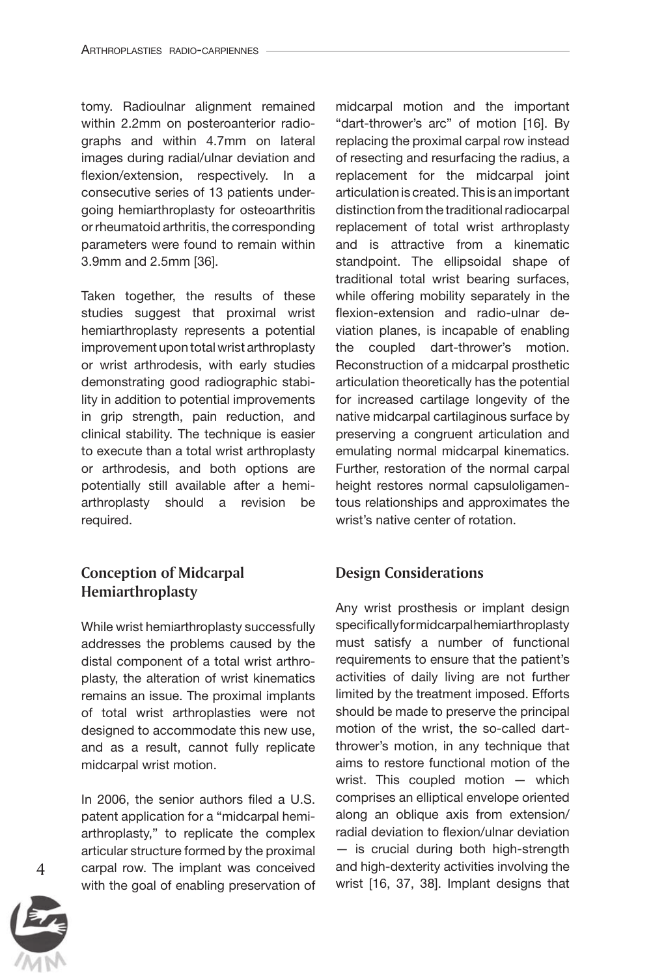tomy. Radioulnar alignment remained within 2.2mm on posteroanterior radiographs and within 4.7mm on lateral images during radial/ulnar deviation and flexion/extension, respectively. In a consecutive series of 13 patients undergoing hemiarthroplasty for osteoarthritis or rheumatoid arthritis, the corresponding parameters were found to remain within 3.9mm and 2.5mm [36].

Taken together, the results of these studies suggest that proximal wrist hemiarthroplasty represents a potential improvement upon total wrist arthroplasty or wrist arthrodesis, with early studies demonstrating good radiographic stability in addition to potential improvements in grip strength, pain reduction, and clinical stability. The technique is easier to execute than a total wrist arthroplasty or arthrodesis, and both options are potentially still available after a hemiarthroplasty should a revision be required.

# *Conception of Midcarpal Hemiarthroplasty*

While wrist hemiarthroplasty successfully addresses the problems caused by the distal component of a total wrist arthroplasty, the alteration of wrist kinematics remains an issue. The proximal implants of total wrist arthroplasties were not designed to accommodate this new use, and as a result, cannot fully replicate midcarpal wrist motion.

In 2006, the senior authors filed a U.S. patent application for a "midcarpal hemiarthroplasty," to replicate the complex articular structure formed by the proximal carpal row. The implant was conceived with the goal of enabling preservation of

midcarpal motion and the important "dart-thrower's arc" of motion [16]. By replacing the proximal carpal row instead of resecting and resurfacing the radius, a replacement for the midcarpal joint articulation is created. This is an important distinction from the traditional radiocarpal replacement of total wrist arthroplasty and is attractive from a kinematic standpoint. The ellipsoidal shape of traditional total wrist bearing surfaces, while offering mobility separately in the flexion-extension and radio-ulnar deviation planes, is incapable of enabling the coupled dart-thrower's motion. Reconstruction of a midcarpal prosthetic articulation theoretically has the potential for increased cartilage longevity of the native midcarpal cartilaginous surface by preserving a congruent articulation and emulating normal midcarpal kinematics. Further, restoration of the normal carpal height restores normal capsuloligamentous relationships and approximates the wrist's native center of rotation.

## *Design Considerations*

Any wrist prosthesis or implant design specifically for midcarpal hemiarthroplasty must satisfy a number of functional requirements to ensure that the patient's activities of daily living are not further limited by the treatment imposed. Efforts should be made to preserve the principal motion of the wrist, the so-called dartthrower's motion, in any technique that aims to restore functional motion of the wrist. This coupled motion — which comprises an elliptical envelope oriented along an oblique axis from extension/ radial deviation to flexion/ulnar deviation — is crucial during both high-strength and high-dexterity activities involving the wrist [16, 37, 38]. Implant designs that

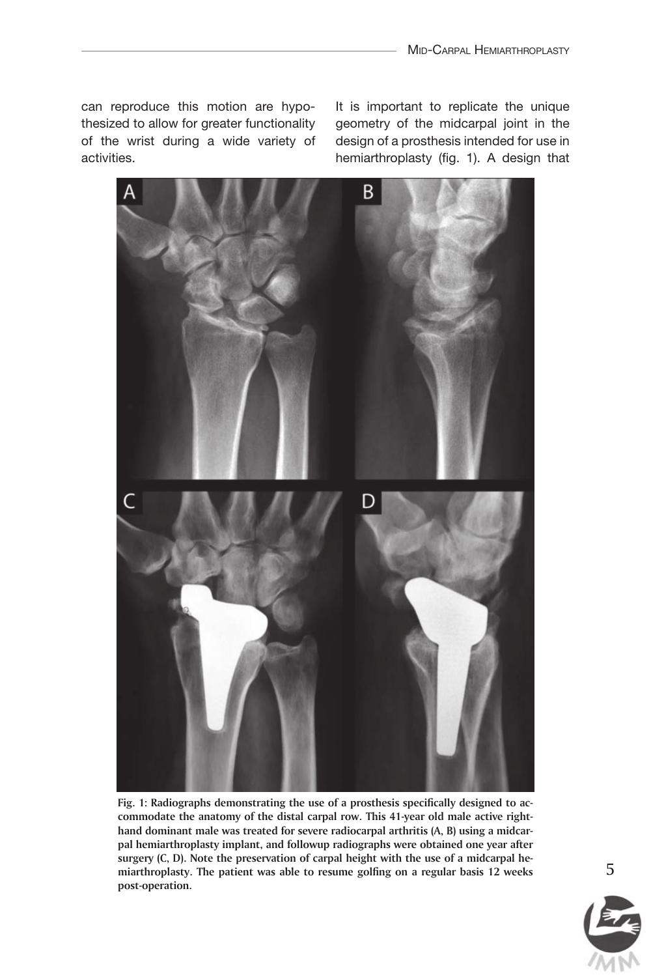can reproduce this motion are hypothesized to allow for greater functionality of the wrist during a wide variety of activities.

It is important to replicate the unique geometry of the midcarpal joint in the design of a prosthesis intended for use in hemiarthroplasty (fig. 1). A design that



*Fig. 1: Radiographs demonstrating the use of a prosthesis specifically designed to accommodate the anatomy of the distal carpal row. This 41-year old male active righthand dominant male was treated for severe radiocarpal arthritis (A, B) using a midcarpal hemiarthroplasty implant, and followup radiographs were obtained one year after surgery (C, D). Note the preservation of carpal height with the use of a midcarpal hemiarthroplasty. The patient was able to resume golfing on a regular basis 12 weeks post-operation.*

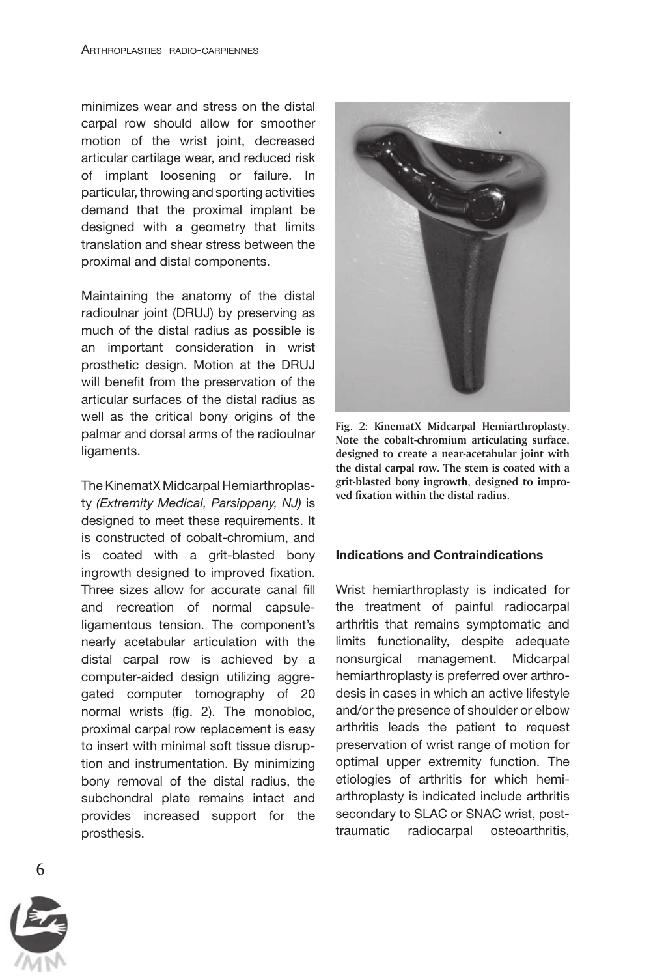minimizes wear and stress on the distal carpal row should allow for smoother motion of the wrist joint, decreased articular cartilage wear, and reduced risk of implant loosening or failure. In particular, throwing and sporting activities demand that the proximal implant be designed with a geometry that limits translation and shear stress between the proximal and distal components.

Maintaining the anatomy of the distal radioulnar joint (DRUJ) by preserving as much of the distal radius as possible is an important consideration in wrist prosthetic design. Motion at the DRUJ will benefit from the preservation of the articular surfaces of the distal radius as well as the critical bony origins of the palmar and dorsal arms of the radioulnar ligaments.

The KinematX Midcarpal Hemiarthroplasty *(Extremity Medical, Parsippany, NJ)* is designed to meet these requirements. It is constructed of cobalt-chromium, and is coated with a grit-blasted bony ingrowth designed to improved fixation. Three sizes allow for accurate canal fill and recreation of normal capsuleligamentous tension. The component's nearly acetabular articulation with the distal carpal row is achieved by a computer-aided design utilizing aggregated computer tomography of 20 normal wrists (fig. 2). The monobloc, proximal carpal row replacement is easy to insert with minimal soft tissue disruption and instrumentation. By minimizing bony removal of the distal radius, the subchondral plate remains intact and provides increased support for the prosthesis.



*Fig. 2: KinematX Midcarpal Hemiarthroplasty. Note the cobalt-chromium articulating surface, designed to create a near-acetabular joint with the distal carpal row. The stem is coated with a grit-blasted bony ingrowth, designed to improved fixation within the distal radius.*

#### Indications and Contraindications

Wrist hemiarthroplasty is indicated for the treatment of painful radiocarpal arthritis that remains symptomatic and limits functionality, despite adequate nonsurgical management. Midcarpal hemiarthroplasty is preferred over arthrodesis in cases in which an active lifestyle and/or the presence of shoulder or elbow arthritis leads the patient to request preservation of wrist range of motion for optimal upper extremity function. The etiologies of arthritis for which hemiarthroplasty is indicated include arthritis secondary to SLAC or SNAC wrist, posttraumatic radiocarpal osteoarthritis,

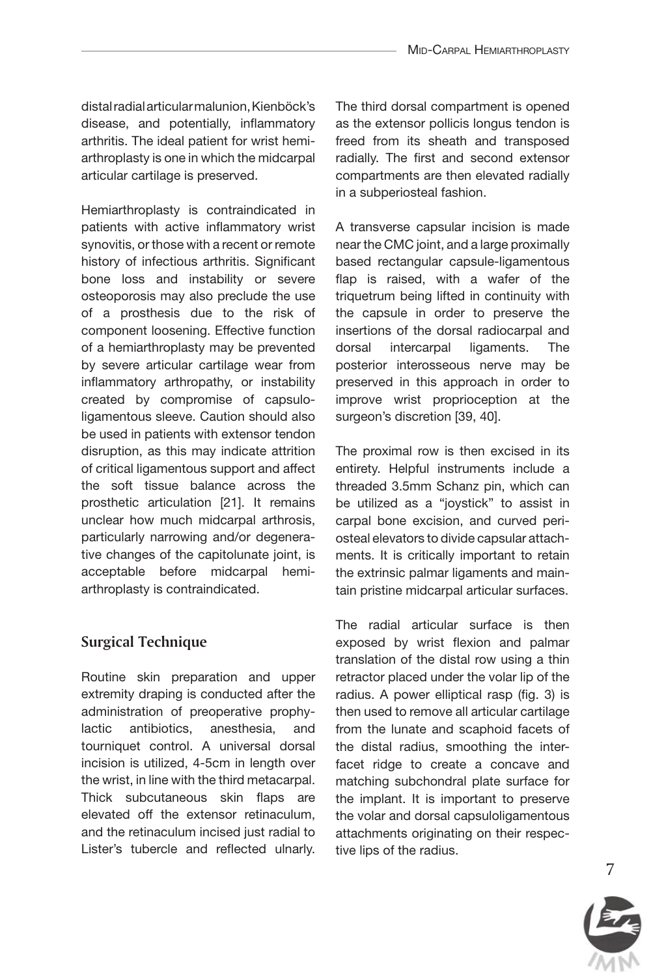distal radial articular malunion, Kienböck's disease, and potentially, inflammatory arthritis. The ideal patient for wrist hemiarthroplasty is one in which the midcarpal articular cartilage is preserved.

Hemiarthroplasty is contraindicated in patients with active inflammatory wrist synovitis, or those with a recent or remote history of infectious arthritis. Significant bone loss and instability or severe osteoporosis may also preclude the use of a prosthesis due to the risk of component loosening. Effective function of a hemiarthroplasty may be prevented by severe articular cartilage wear from inflammatory arthropathy, or instability created by compromise of capsuloligamentous sleeve. Caution should also be used in patients with extensor tendon disruption, as this may indicate attrition of critical ligamentous support and affect the soft tissue balance across the prosthetic articulation [21]. It remains unclear how much midcarpal arthrosis, particularly narrowing and/or degenerative changes of the capitolunate joint, is acceptable before midcarpal hemiarthroplasty is contraindicated.

## *Surgical Technique*

Routine skin preparation and upper extremity draping is conducted after the administration of preoperative prophylactic antibiotics, anesthesia, and tourniquet control. A universal dorsal incision is utilized, 4-5cm in length over the wrist, in line with the third metacarpal. Thick subcutaneous skin flaps are elevated off the extensor retinaculum, and the retinaculum incised just radial to Lister's tubercle and reflected ulnarly.

The third dorsal compartment is opened as the extensor pollicis longus tendon is freed from its sheath and transposed radially. The first and second extensor compartments are then elevated radially in a subperiosteal fashion.

A transverse capsular incision is made near the CMC joint, and a large proximally based rectangular capsule-ligamentous flap is raised, with a wafer of the triquetrum being lifted in continuity with the capsule in order to preserve the insertions of the dorsal radiocarpal and dorsal intercarpal ligaments. The posterior interosseous nerve may be preserved in this approach in order to improve wrist proprioception at the surgeon's discretion [39, 40].

The proximal row is then excised in its entirety. Helpful instruments include a threaded 3.5mm Schanz pin, which can be utilized as a "joystick" to assist in carpal bone excision, and curved periosteal elevators to divide capsular attachments. It is critically important to retain the extrinsic palmar ligaments and maintain pristine midcarpal articular surfaces.

The radial articular surface is then exposed by wrist flexion and palmar translation of the distal row using a thin retractor placed under the volar lip of the radius. A power elliptical rasp (fig. 3) is then used to remove all articular cartilage from the lunate and scaphoid facets of the distal radius, smoothing the interfacet ridge to create a concave and matching subchondral plate surface for the implant. It is important to preserve the volar and dorsal capsuloligamentous attachments originating on their respective lips of the radius.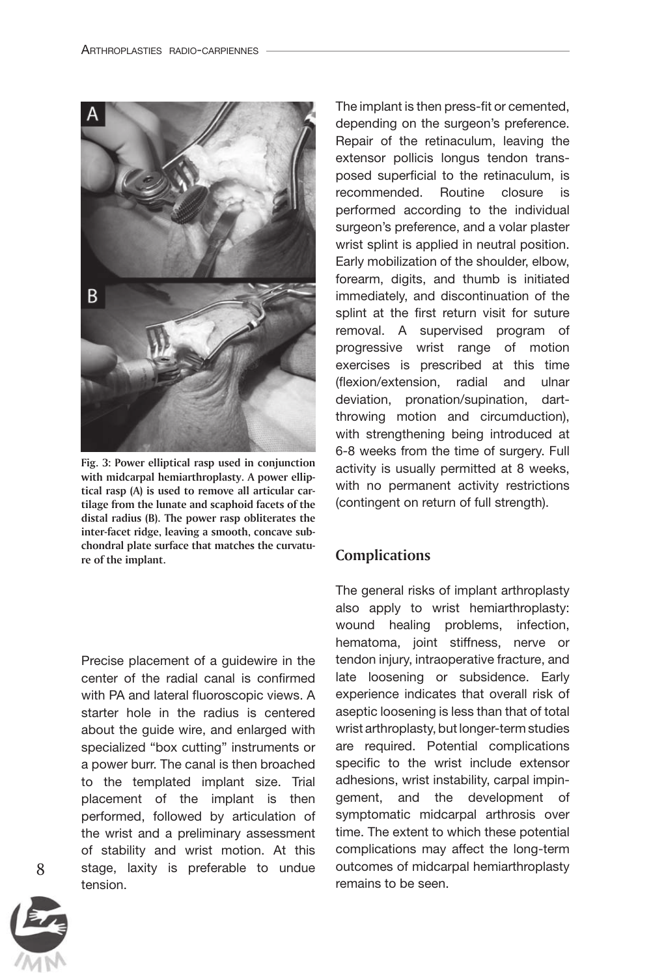

*Fig. 3: Power elliptical rasp used in conjunction with midcarpal hemiarthroplasty. A power elliptical rasp (A) is used to remove all articular cartilage from the lunate and scaphoid facets of the distal radius (B). The power rasp obliterates the inter-facet ridge, leaving a smooth, concave subchondral plate surface that matches the curvature of the implant.*

Precise placement of a guidewire in the center of the radial canal is confirmed with PA and lateral fluoroscopic views. A starter hole in the radius is centered about the guide wire, and enlarged with specialized "box cutting" instruments or a power burr. The canal is then broached to the templated implant size. Trial placement of the implant is then performed, followed by articulation of the wrist and a preliminary assessment of stability and wrist motion. At this stage, laxity is preferable to undue tension.

The implant is then press-fit or cemented, depending on the surgeon's preference. Repair of the retinaculum, leaving the extensor pollicis longus tendon transposed superficial to the retinaculum, is recommended. Routine closure is performed according to the individual surgeon's preference, and a volar plaster wrist splint is applied in neutral position. Early mobilization of the shoulder, elbow, forearm, digits, and thumb is initiated immediately, and discontinuation of the splint at the first return visit for suture removal. A supervised program of progressive wrist range of motion exercises is prescribed at this time (flexion/extension, radial and ulnar deviation, pronation/supination, dartthrowing motion and circumduction), with strengthening being introduced at 6-8 weeks from the time of surgery. Full activity is usually permitted at 8 weeks, with no permanent activity restrictions (contingent on return of full strength).

#### *Complications*

The general risks of implant arthroplasty also apply to wrist hemiarthroplasty: wound healing problems, infection, hematoma, joint stiffness, nerve or tendon injury, intraoperative fracture, and late loosening or subsidence. Early experience indicates that overall risk of aseptic loosening is less than that of total wrist arthroplasty, but longer-term studies are required. Potential complications specific to the wrist include extensor adhesions, wrist instability, carpal impingement, and the development of symptomatic midcarpal arthrosis over time. The extent to which these potential complications may affect the long-term outcomes of midcarpal hemiarthroplasty remains to be seen.

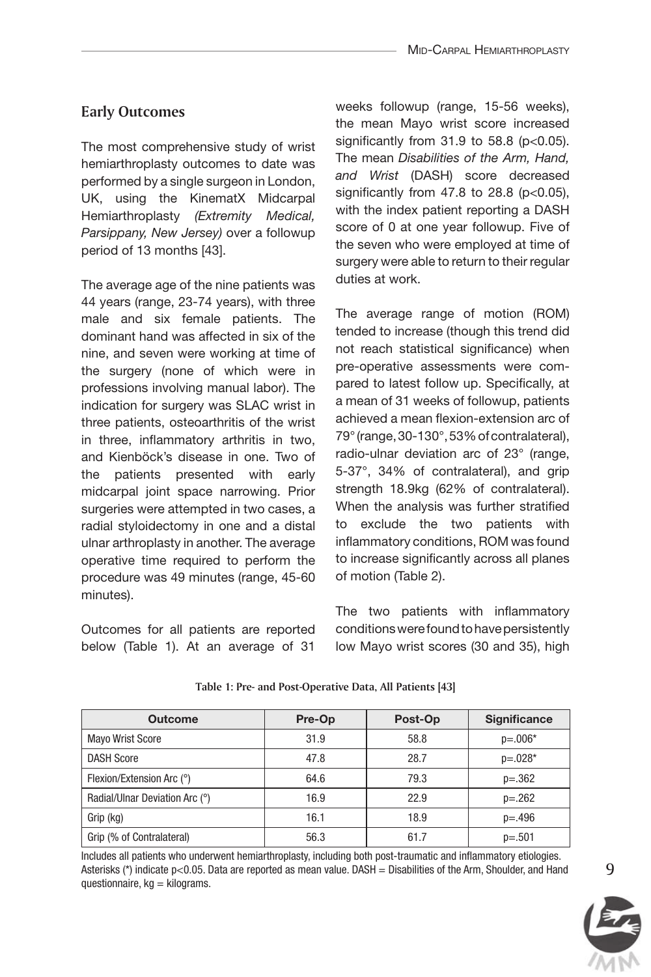## *Early Outcomes*

The most comprehensive study of wrist hemiarthroplasty outcomes to date was performed by a single surgeon in London, UK, using the KinematX Midcarpal Hemiarthroplasty *(Extremity Medical, Parsippany, New Jersey)* over a followup period of 13 months [43].

The average age of the nine patients was 44 years (range, 23-74 years), with three male and six female patients. The dominant hand was affected in six of the nine, and seven were working at time of the surgery (none of which were in professions involving manual labor). The indication for surgery was SLAC wrist in three patients, osteoarthritis of the wrist in three, inflammatory arthritis in two, and Kienböck's disease in one. Two of the patients presented with early midcarpal joint space narrowing. Prior surgeries were attempted in two cases, a radial styloidectomy in one and a distal ulnar arthroplasty in another. The average operative time required to perform the procedure was 49 minutes (range, 45-60 minutes).

Outcomes for all patients are reported below (Table 1). At an average of 31

weeks followup (range, 15-56 weeks), the mean Mayo wrist score increased significantly from  $31.9$  to  $58.8$  ( $p<0.05$ ). The mean *Disabilities of the Arm, Hand, and Wrist* (DASH) score decreased significantly from  $47.8$  to  $28.8$  ( $p<0.05$ ), with the index patient reporting a DASH score of 0 at one year followup. Five of the seven who were employed at time of surgery were able to return to their regular duties at work.

The average range of motion (ROM) tended to increase (though this trend did not reach statistical significance) when pre-operative assessments were compared to latest follow up. Specifically, at a mean of 31 weeks of followup, patients achieved a mean flexion-extension arc of 79° (range, 30-130°, 53% of contralateral), radio-ulnar deviation arc of 23° (range, 5-37°, 34% of contralateral), and grip strength 18.9kg (62% of contralateral). When the analysis was further stratified to exclude the two patients with inflammatory conditions, ROM was found to increase significantly across all planes of motion (Table 2).

The two patients with inflammatory conditions were found to have persistently low Mayo wrist scores (30 and 35), high

| <b>Outcome</b>                 | Pre-Op | Post-Op | <b>Significance</b> |
|--------------------------------|--------|---------|---------------------|
| <b>Mayo Wrist Score</b>        | 31.9   | 58.8    | $p=.006*$           |
| <b>DASH Score</b>              | 47.8   | 28.7    | $p = 0.028*$        |
| Flexion/Extension Arc (°)      | 64.6   | 79.3    | $p=.362$            |
| Radial/Ulnar Deviation Arc (°) | 16.9   | 22.9    | $p=.262$            |
| Grip (kg)                      | 16.1   | 18.9    | $p = .496$          |
| Grip (% of Contralateral)      | 56.3   | 61.7    | $p=.501$            |

#### *Table 1: Pre- and Post-Operative Data, All Patients [43]*

Includes all patients who underwent hemiarthroplasty, including both post-traumatic and inflammatory etiologies. Asterisks (\*) indicate p<0.05. Data are reported as mean value. DASH = Disabilities of the Arm, Shoulder, and Hand questionnaire,  $kg =$  kilograms.

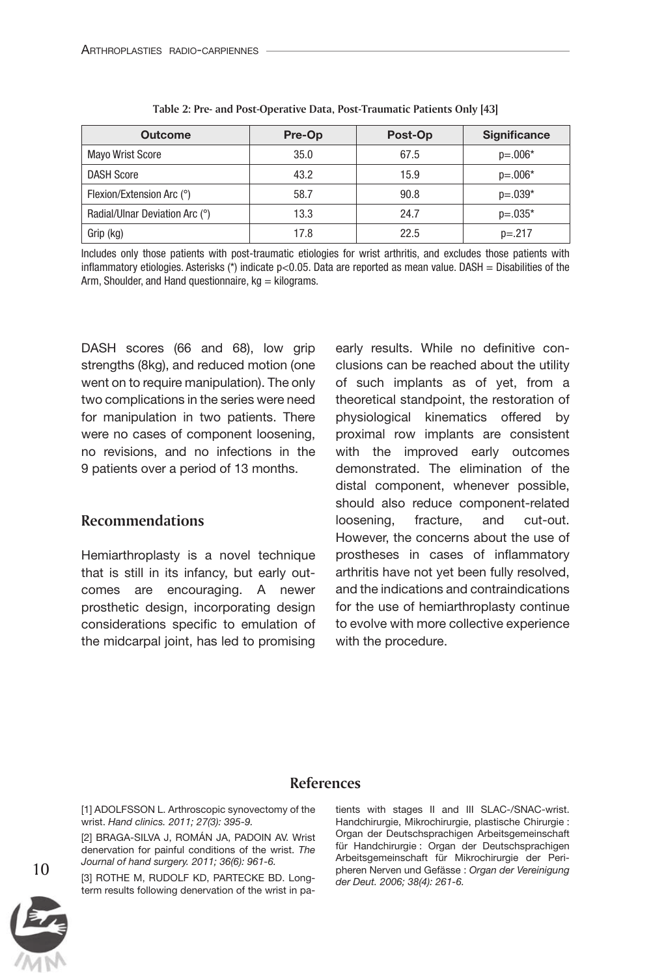| <b>Outcome</b>                 | Pre-Op | Post-Op | <b>Significance</b> |
|--------------------------------|--------|---------|---------------------|
| <b>Mayo Wrist Score</b>        | 35.0   | 67.5    | $p=.006*$           |
| <b>DASH Score</b>              | 43.2   | 15.9    | $p=.006*$           |
| Flexion/Extension Arc (°)      | 58.7   | 90.8    | $p = 0.039*$        |
| Radial/Ulnar Deviation Arc (°) | 13.3   | 24.7    | $p = 0.035*$        |
| Grip (kg)                      | 17.8   | 22.5    | $p = 217$           |

| Table 2: Pre- and Post-Operative Data, Post-Traumatic Patients Only [43] |  |
|--------------------------------------------------------------------------|--|
|--------------------------------------------------------------------------|--|

Includes only those patients with post-traumatic etiologies for wrist arthritis, and excludes those patients with inflammatory etiologies. Asterisks (\*) indicate  $p<0.05$ . Data are reported as mean value. DASH = Disabilities of the Arm, Shoulder, and Hand questionnaire,  $kq =$  kilograms.

DASH scores (66 and 68), low grip strengths (8kg), and reduced motion (one went on to require manipulation). The only two complications in the series were need for manipulation in two patients. There were no cases of component loosening, no revisions, and no infections in the 9 patients over a period of 13 months.

#### *Recommendations*

Hemiarthroplasty is a novel technique that is still in its infancy, but early outcomes are encouraging. A newer prosthetic design, incorporating design considerations specific to emulation of the midcarpal joint, has led to promising

early results. While no definitive conclusions can be reached about the utility of such implants as of yet, from a theoretical standpoint, the restoration of physiological kinematics offered by proximal row implants are consistent with the improved early outcomes demonstrated. The elimination of the distal component, whenever possible, should also reduce component-related loosening, fracture, and cut-out. However, the concerns about the use of prostheses in cases of inflammatory arthritis have not yet been fully resolved, and the indications and contraindications for the use of hemiarthroplasty continue to evolve with more collective experience with the procedure.

#### *References*

[1] ADOLFSSON L. Arthroscopic synovectomy of the wrist. *Hand clinics. 2011; 27(3): 395-9.*

[2] Braga-Silva J, Román JA, Padoin AV. Wrist denervation for painful conditions of the wrist. *The Journal of hand surgery. 2011; 36(6): 961-6.*

[3] ROTHE M, RUDOLF KD, PARTECKE BD. Longterm results following denervation of the wrist in patients with stages II and III SLAC-/SNAC-wrist. Handchirurgie, Mikrochirurgie, plastische Chirurgie : Organ der Deutschsprachigen Arbeitsgemeinschaft für Handchirurgie : Organ der Deutschsprachigen Arbeitsgemeinschaft für Mikrochirurgie der Peripheren Nerven und Gefässe : *Organ der Vereinigung der Deut. 2006; 38(4): 261-6.*



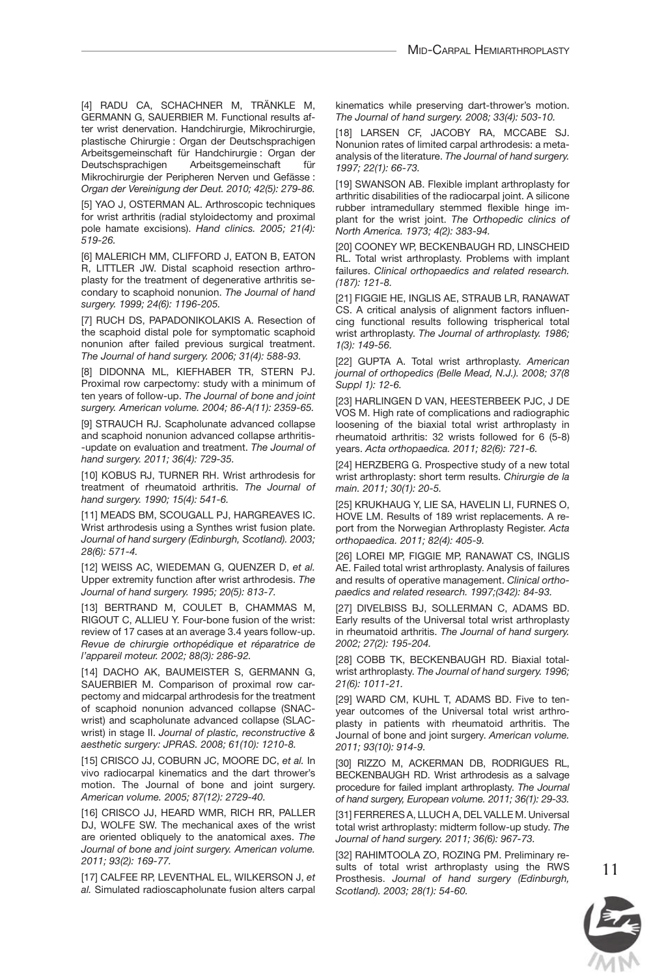[4] Radu CA, Schachner M, Tränkle M, GERMANN G. SAUERBIER M. Functional results after wrist denervation. Handchirurgie, Mikrochirurgie, plastische Chirurgie : Organ der Deutschsprachigen Arbeitsgemeinschaft für Handchirurgie : Organ der Arbeitsgemeinschaft für Mikrochirurgie der Peripheren Nerven und Gefässe : *Organ der Vereinigung der Deut. 2010; 42(5): 279-86.*

[5] YAO J, OSTERMAN AL. Arthroscopic techniques for wrist arthritis (radial styloidectomy and proximal pole hamate excisions). *Hand clinics. 2005; 21(4): 519-26.*

[6] MALERICH MM, CLIFFORD J, EATON B, EATON R, LITTLER JW. Distal scaphoid resection arthroplasty for the treatment of degenerative arthritis secondary to scaphoid nonunion. *The Journal of hand surgery. 1999; 24(6): 1196-205.*

[7] RUCH DS, PAPADONIKOLAKIS A. Resection of the scaphoid distal pole for symptomatic scaphoid nonunion after failed previous surgical treatment. *The Journal of hand surgery. 2006; 31(4): 588-93.*

[8] DiDonna ML, Kiefhaber TR, Stern PJ. Proximal row carpectomy: study with a minimum of ten years of follow-up. *The Journal of bone and joint surgery. American volume. 2004; 86-A(11): 2359-65.*

[9] STRAUCH RJ. Scapholunate advanced collapse and scaphoid nonunion advanced collapse arthritisupdate on evaluation and treatment. *The Journal of hand surgery. 2011; 36(4): 729-35.*

[10] KOBUS RJ, TURNER RH. Wrist arthrodesis for treatment of rheumatoid arthritis. *The Journal of hand surgery. 1990; 15(4): 541-6.*

[11] MEADS BM, SCOUGALL PJ, HARGREAVES IC. Wrist arthrodesis using a Synthes wrist fusion plate. *Journal of hand surgery (Edinburgh, Scotland). 2003; 28(6): 571-4.*

[12] Weiss AC, Wiedeman G, Quenzer D, *et al.* Upper extremity function after wrist arthrodesis. *The Journal of hand surgery. 1995; 20(5): 813-7.*

[13] Bertrand M, Coulet B, Chammas M, RIGOUT C, ALLIEU Y. Four-bone fusion of the wrist: review of 17 cases at an average 3.4 years follow-up. *Revue de chirurgie orthopédique et réparatrice de l'appareil moteur. 2002; 88(3): 286-92.*

[14] DACHO AK, BAUMEISTER S, GERMANN G, SAUERBIER M. Comparison of proximal row carpectomy and midcarpal arthrodesis for the treatment of scaphoid nonunion advanced collapse (SNACwrist) and scapholunate advanced collapse (SLACwrist) in stage II. *Journal of plastic, reconstructive & aesthetic surgery: JPRAS. 2008; 61(10): 1210-8.*

[15] CRISCO JJ, COBURN JC, MOORE DC, et al. In vivo radiocarpal kinematics and the dart thrower's motion. The Journal of bone and joint surgery. *American volume. 2005; 87(12): 2729-40.*

[16] CRISCO JJ, HEARD WMR, RICH RR, PALLER DJ, Wolfe SW. The mechanical axes of the wrist are oriented obliquely to the anatomical axes. *The Journal of bone and joint surgery. American volume. 2011; 93(2): 169-77.*

[17] Calfee RP, Leventhal EL, Wilkerson J, *et al.* Simulated radioscapholunate fusion alters carpal kinematics while preserving dart-thrower's motion. *The Journal of hand surgery. 2008; 33(4): 503-10.*

[18] Larsen CF, Jacoby RA, McCabe SJ. Nonunion rates of limited carpal arthrodesis: a metaanalysis of the literature. *The Journal of hand surgery. 1997; 22(1): 66-73.*

[19] SWANSON AB. Flexible implant arthroplasty for arthritic disabilities of the radiocarpal joint. A silicone rubber intramedullary stemmed flexible hinge implant for the wrist joint. *The Orthopedic clinics of North America. 1973; 4(2): 383-94.*

[20] Cooney WP, Beckenbaugh RD, Linscheid RL. Total wrist arthroplasty. Problems with implant failures. *Clinical orthopaedics and related research. (187): 121-8.*

[21] Figgie HE, Inglis AE, Straub LR, Ranawat CS. A critical analysis of alignment factors influencing functional results following trispherical total wrist arthroplasty. *The Journal of arthroplasty. 1986; 1(3): 149-56.*

[22] GUPTA A. Total wrist arthroplasty. American *journal of orthopedics (Belle Mead, N.J.). 2008; 37(8 Suppl 1): 12-6.*

[23] Harlingen D van, Heesterbeek PJC, J de Vos M. High rate of complications and radiographic loosening of the biaxial total wrist arthroplasty in rheumatoid arthritis: 32 wrists followed for 6 (5-8) years. *Acta orthopaedica. 2011; 82(6): 721-6.*

[24] HERZBERG G. Prospective study of a new total wrist arthroplasty: short term results. *Chirurgie de la main. 2011; 30(1): 20-5.*

[25] Krukhaug Y, Lie SA, Havelin LI, Furnes O, Hove LM. Results of 189 wrist replacements. A report from the Norwegian Arthroplasty Register. *Acta orthopaedica. 2011; 82(4): 405-9.*

[26] Lorei MP, Figgie MP, Ranawat CS, Inglis AE. Failed total wrist arthroplasty. Analysis of failures and results of operative management. *Clinical orthopaedics and related research. 1997;(342): 84-93.*

[27] Divelbiss BJ, Sollerman C, Adams BD. Early results of the Universal total wrist arthroplasty in rheumatoid arthritis. *The Journal of hand surgery. 2002; 27(2): 195-204.*

[28] COBB TK, BECKENBAUGH RD. Biaxial totalwrist arthroplasty. *The Journal of hand surgery. 1996; 21(6): 1011-21.*

[29] WARD CM, KUHL T, ADAMS BD. Five to tenyear outcomes of the Universal total wrist arthroplasty in patients with rheumatoid arthritis. The Journal of bone and joint surgery. *American volume. 2011; 93(10): 914-9.*

[30] Rizzo M, Ackerman DB, Rodrigues RL, Beckenbaugh RD. Wrist arthrodesis as a salvage procedure for failed implant arthroplasty. *The Journal of hand surgery, European volume. 2011; 36(1): 29-33.*

[31] FERRERES A, LLUCH A, DEL VALLE M. Universal total wrist arthroplasty: midterm follow-up study. *The Journal of hand surgery. 2011; 36(6): 967-73.*

[32] RAHIMTOOLA ZO, ROZING PM. Preliminary results of total wrist arthroplasty using the RWS Prosthesis. *Journal of hand surgery (Edinburgh, Scotland). 2003; 28(1): 54-60.*